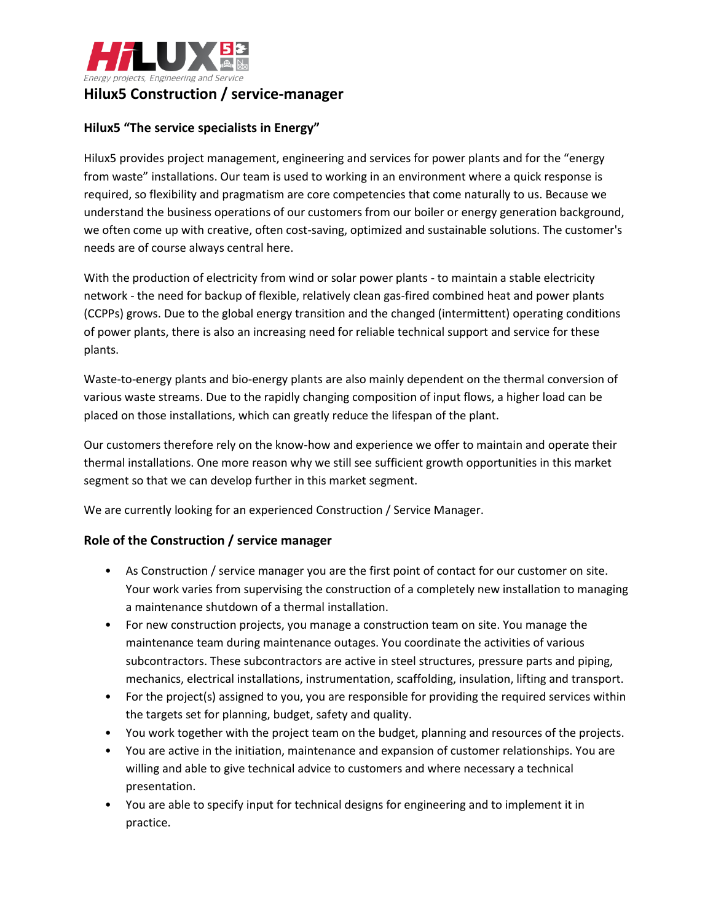

# **Hilux5 Construction / service-manager**

## **Hilux5 "The service specialists in Energy"**

Hilux5 provides project management, engineering and services for power plants and for the "energy from waste" installations. Our team is used to working in an environment where a quick response is required, so flexibility and pragmatism are core competencies that come naturally to us. Because we understand the business operations of our customers from our boiler or energy generation background, we often come up with creative, often cost-saving, optimized and sustainable solutions. The customer's needs are of course always central here.

With the production of electricity from wind or solar power plants - to maintain a stable electricity network - the need for backup of flexible, relatively clean gas-fired combined heat and power plants (CCPPs) grows. Due to the global energy transition and the changed (intermittent) operating conditions of power plants, there is also an increasing need for reliable technical support and service for these plants.

Waste-to-energy plants and bio-energy plants are also mainly dependent on the thermal conversion of various waste streams. Due to the rapidly changing composition of input flows, a higher load can be placed on those installations, which can greatly reduce the lifespan of the plant.

Our customers therefore rely on the know-how and experience we offer to maintain and operate their thermal installations. One more reason why we still see sufficient growth opportunities in this market segment so that we can develop further in this market segment.

We are currently looking for an experienced Construction / Service Manager.

### **Role of the Construction / service manager**

- As Construction / service manager you are the first point of contact for our customer on site. Your work varies from supervising the construction of a completely new installation to managing a maintenance shutdown of a thermal installation.
- For new construction projects, you manage a construction team on site. You manage the maintenance team during maintenance outages. You coordinate the activities of various subcontractors. These subcontractors are active in steel structures, pressure parts and piping, mechanics, electrical installations, instrumentation, scaffolding, insulation, lifting and transport.
- For the project(s) assigned to you, you are responsible for providing the required services within the targets set for planning, budget, safety and quality.
- You work together with the project team on the budget, planning and resources of the projects.
- You are active in the initiation, maintenance and expansion of customer relationships. You are willing and able to give technical advice to customers and where necessary a technical presentation.
- You are able to specify input for technical designs for engineering and to implement it in practice.